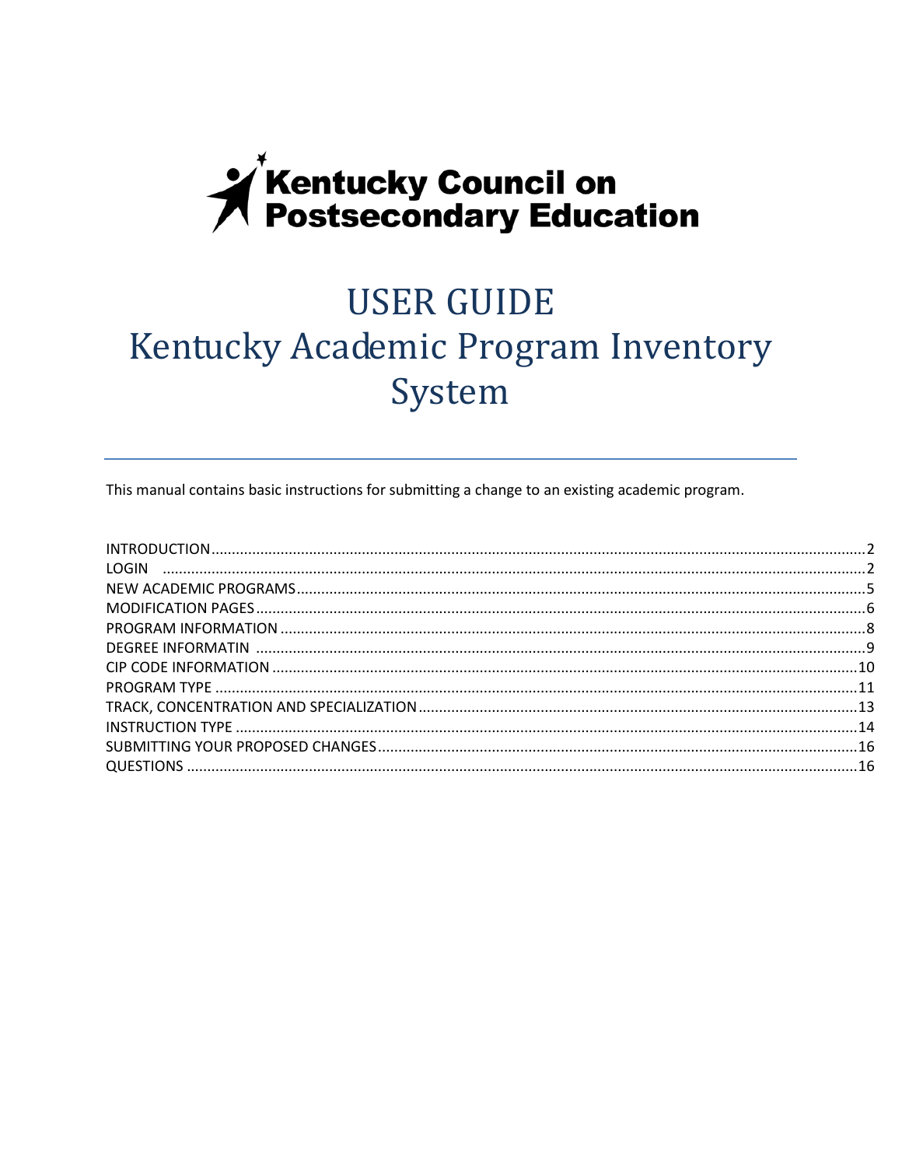# **X** Kentucky Council on<br>**X** Postsecondary Education

# **USER GUIDE** Kentucky Academic Program Inventory System

This manual contains basic instructions for submitting a change to an existing academic program.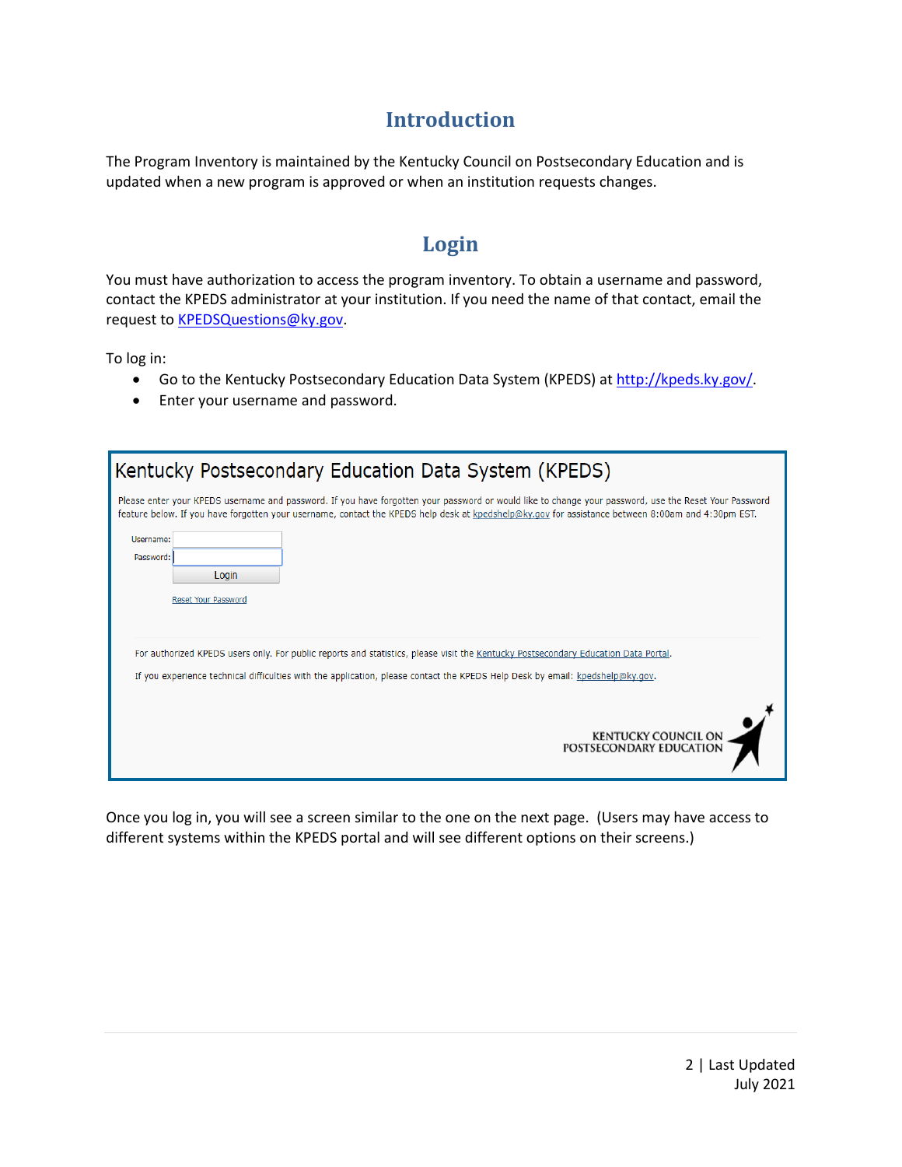#### **Introduction**

The Program Inventory is maintained by the Kentucky Council on Postsecondary Education and is updated when a new program is approved or when an institution requests changes.

#### **Login**

You must have authorization to access the program inventory. To obtain a username and password, contact the KPEDS administrator at your institution. If you need the name of that contact, email the request to **KPEDSQuestions@ky.gov**.

To log in:

- Go to the Kentucky Postsecondary Education Data System (KPEDS) at http://kpeds.ky.gov/
- Enter your username and password.

| Kentucky Postsecondary Education Data System (KPEDS)                                                                                                                                                                                                                                                       |
|------------------------------------------------------------------------------------------------------------------------------------------------------------------------------------------------------------------------------------------------------------------------------------------------------------|
| Please enter your KPEDS username and password. If you have forgotten your password or would like to change your password, use the Reset Your Password<br>feature below. If you have forgotten your username, contact the KPEDS help desk at kpedshelp@ky.gov for assistance between 8:00am and 4:30pm EST. |
| Username:<br>Password:<br>Login<br><b>Reset Your Password</b>                                                                                                                                                                                                                                              |
| For authorized KPEDS users only. For public reports and statistics, please visit the Kentucky Postsecondary Education Data Portal.<br>If you experience technical difficulties with the application, please contact the KPEDS Help Desk by email: kpedshelp@ky.gov.                                        |
| <b>KENTUCKY COUNCIL ON</b><br>POSTSECONDARY EDUCATION                                                                                                                                                                                                                                                      |

Once you log in, you will see a screen similar to the one on the next page. (Users may have access to different systems within the KPEDS portal and will see different options on their screens.)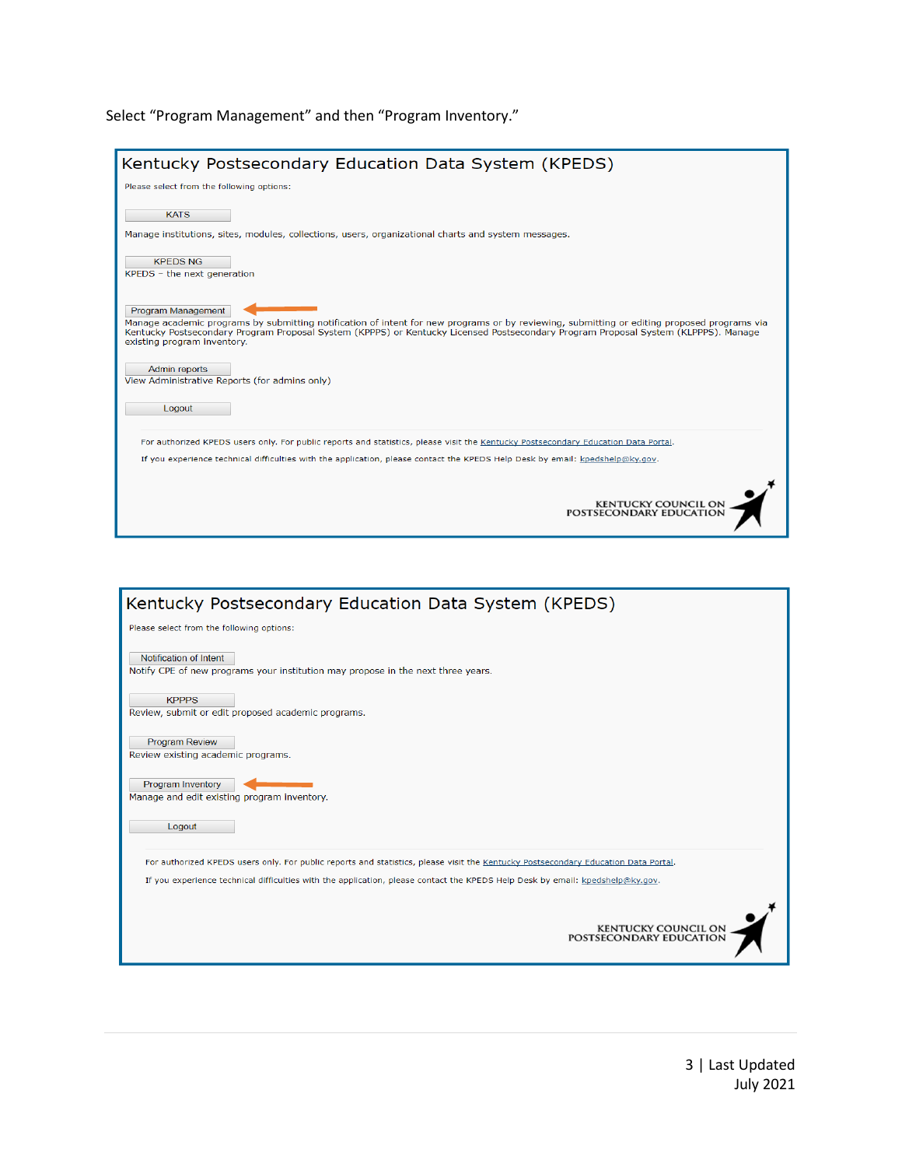#### Select "Program Management" and then "Program Inventory."

| Kentucky Postsecondary Education Data System (KPEDS)                                                                                                                                                                                                                                                                                   |
|----------------------------------------------------------------------------------------------------------------------------------------------------------------------------------------------------------------------------------------------------------------------------------------------------------------------------------------|
| Please select from the following options:                                                                                                                                                                                                                                                                                              |
| <b>KATS</b><br>Manage institutions, sites, modules, collections, users, organizational charts and system messages.                                                                                                                                                                                                                     |
| <b>KPEDS NG</b><br>KPEDS - the next generation                                                                                                                                                                                                                                                                                         |
| Program Management<br>Manage academic programs by submitting notification of intent for new programs or by reviewing, submitting or editing proposed programs via<br>Kentucky Postsecondary Program Proposal System (KPPPS) or Kentucky Licensed Postsecondary Program Proposal System (KLPPPS). Manage<br>existing program inventory. |
| Admin reports<br>View Administrative Reports (for admins only)                                                                                                                                                                                                                                                                         |
| Logout                                                                                                                                                                                                                                                                                                                                 |
| For authorized KPEDS users only. For public reports and statistics, please visit the Kentucky Postsecondary Education Data Portal.                                                                                                                                                                                                     |
| If you experience technical difficulties with the application, please contact the KPEDS Help Desk by email: kpedshelp@ky.gov.                                                                                                                                                                                                          |
| <b>KENTUCKY COUNCIL ON</b><br>POSTSECONDARY EDUCATION                                                                                                                                                                                                                                                                                  |



3 | Last Updated July 2021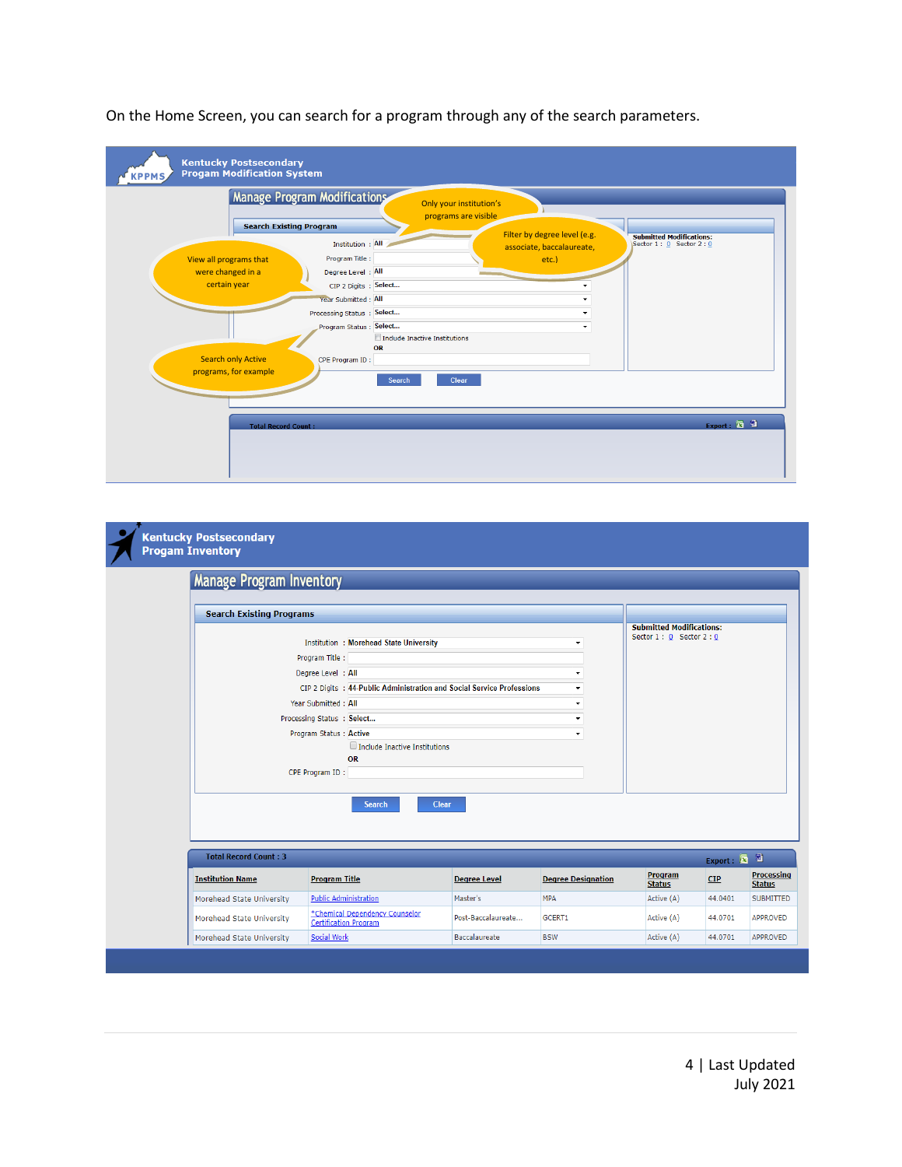|                                   | <b>Manage Program Modifications</b>   | Only your institution's<br>programs are visible           |                                                                |
|-----------------------------------|---------------------------------------|-----------------------------------------------------------|----------------------------------------------------------------|
| <b>Search Existing Program</b>    | Institution : All                     | Filter by degree level (e.g.<br>associate, baccalaureate, | <b>Submitted Modifications:</b><br>Sector $1: 0$ Sector $2: 0$ |
| View all programs that            | Program Title :<br>Degree Level : All | etc.)                                                     |                                                                |
| were changed in a<br>certain year | CIP 2 Digits : Select                 |                                                           |                                                                |
|                                   | Year Submitted : All                  |                                                           |                                                                |
|                                   | Processing Status : Select            |                                                           |                                                                |
|                                   | Program Status: Select                |                                                           |                                                                |
|                                   |                                       | Include Inactive Institutions                             |                                                                |
|                                   | OR                                    |                                                           |                                                                |
| <b>Search only Active</b>         | CPE Program ID:                       |                                                           |                                                                |
| programs, for example             | Search                                | Clear                                                     |                                                                |
| <b>Total Record Count:</b>        |                                       |                                                           | Export: 3                                                      |

On the Home Screen, you can search for a program through any of the search parameters.

| <b>Manage Program Inventory</b> |                                                                        |                     |                           |                                                            |                                    |                                    |
|---------------------------------|------------------------------------------------------------------------|---------------------|---------------------------|------------------------------------------------------------|------------------------------------|------------------------------------|
|                                 |                                                                        |                     |                           |                                                            |                                    |                                    |
| <b>Search Existing Programs</b> |                                                                        |                     |                           |                                                            |                                    |                                    |
|                                 |                                                                        |                     |                           | <b>Submitted Modifications:</b><br>Sector 1: 0 Sector 2: 0 |                                    |                                    |
|                                 | <b>Institution : Morehead State University</b>                         |                     | ٠                         |                                                            |                                    |                                    |
|                                 | Program Title :                                                        |                     |                           |                                                            |                                    |                                    |
|                                 | Degree Level : All                                                     |                     | $\blacktriangledown$      |                                                            |                                    |                                    |
|                                 | CIP 2 Digits : 44-Public Administration and Social Service Professions |                     | $\blacktriangledown$      |                                                            |                                    |                                    |
|                                 | Year Submitted: All                                                    |                     | $\blacktriangledown$      |                                                            |                                    |                                    |
|                                 | Processing Status : Select                                             |                     | ۰                         |                                                            |                                    |                                    |
|                                 | Program Status: Active                                                 |                     | $\blacktriangledown$      |                                                            |                                    |                                    |
|                                 | Include Inactive Institutions<br><b>OR</b>                             |                     |                           |                                                            |                                    |                                    |
|                                 | CPE Program ID:                                                        |                     |                           |                                                            |                                    |                                    |
|                                 |                                                                        |                     |                           |                                                            |                                    |                                    |
|                                 | <b>Search</b>                                                          | <b>Clear</b>        |                           |                                                            | Export: $\boxed{\bullet}$ <b>2</b> |                                    |
| <b>Total Record Count: 3</b>    |                                                                        |                     |                           | Program<br><b>Status</b>                                   | CIP                                | <b>Processing</b><br><b>Status</b> |
| <b>Institution Name</b>         | <b>Program Title</b>                                                   | <b>Degree Level</b> | <b>Degree Designation</b> |                                                            |                                    |                                    |
| Morehead State University       | <b>Public Administration</b>                                           | Master's            | <b>MPA</b>                | Active (A)                                                 | 44.0401                            |                                    |
| Morehead State University       | *Chemical Dependency Counselor<br><b>Certification Program</b>         | Post-Baccalaureate  | GCERT1                    | Active (A)                                                 | 44.0701                            | SUBMITTED<br><b>APPROVED</b>       |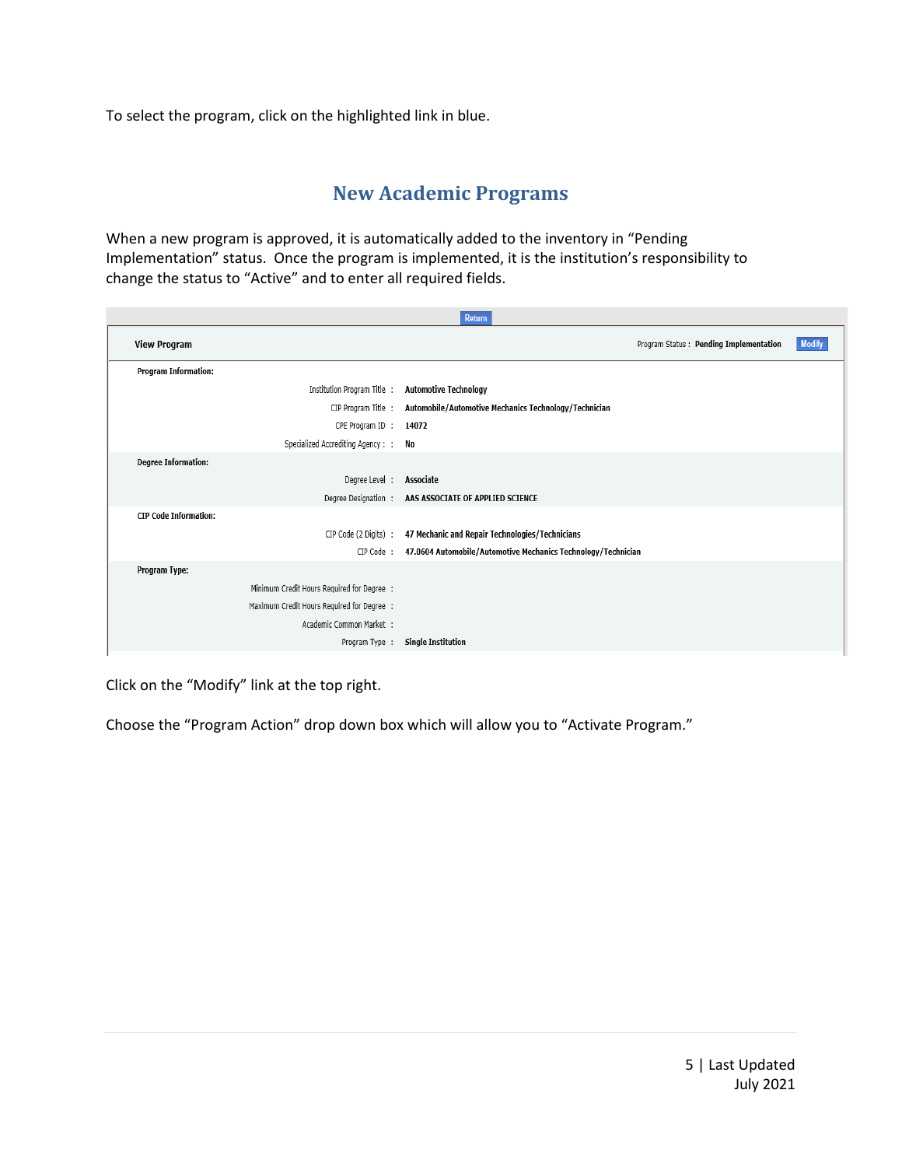To select the program, click on the highlighted link in blue.

#### **New Academic Programs**

When a new program is approved, it is automatically added to the inventory in "Pending Implementation" status. Once the program is implemented, it is the institution's responsibility to change the status to "Active" and to enter all required fields.

|                     | Return                                     |                                                               |  |  |
|---------------------|--------------------------------------------|---------------------------------------------------------------|--|--|
| <b>View Program</b> |                                            | <b>Modify</b><br>Program Status: Pending Implementation       |  |  |
|                     | <b>Program Information:</b>                |                                                               |  |  |
|                     | Institution Program Title :                | <b>Automotive Technology</b>                                  |  |  |
|                     | CIP Program Title :                        | Automobile/Automotive Mechanics Technology/Technician         |  |  |
|                     | CPE Program ID :                           | 14072                                                         |  |  |
|                     | Specialized Accrediting Agency : :         | No                                                            |  |  |
|                     | <b>Degree Information:</b>                 |                                                               |  |  |
|                     | Degree Level:                              | Associate                                                     |  |  |
|                     |                                            | Degree Designation: AAS ASSOCIATE OF APPLIED SCIENCE          |  |  |
|                     | <b>CIP Code Information:</b>               |                                                               |  |  |
|                     | CIP Code (2 Digits) :                      | 47 Mechanic and Repair Technologies/Technicians               |  |  |
|                     | CIP Code:                                  | 47.0604 Automobile/Automotive Mechanics Technology/Technician |  |  |
| Program Type:       |                                            |                                                               |  |  |
|                     | Minimum Credit Hours Required for Degree : |                                                               |  |  |
|                     | Maximum Credit Hours Required for Degree : |                                                               |  |  |
|                     | Academic Common Market :                   |                                                               |  |  |
|                     | Program Type :                             | <b>Single Institution</b>                                     |  |  |
|                     |                                            |                                                               |  |  |

Click on the "Modify" link at the top right.

Choose the "Program Action" drop down box which will allow you to "Activate Program."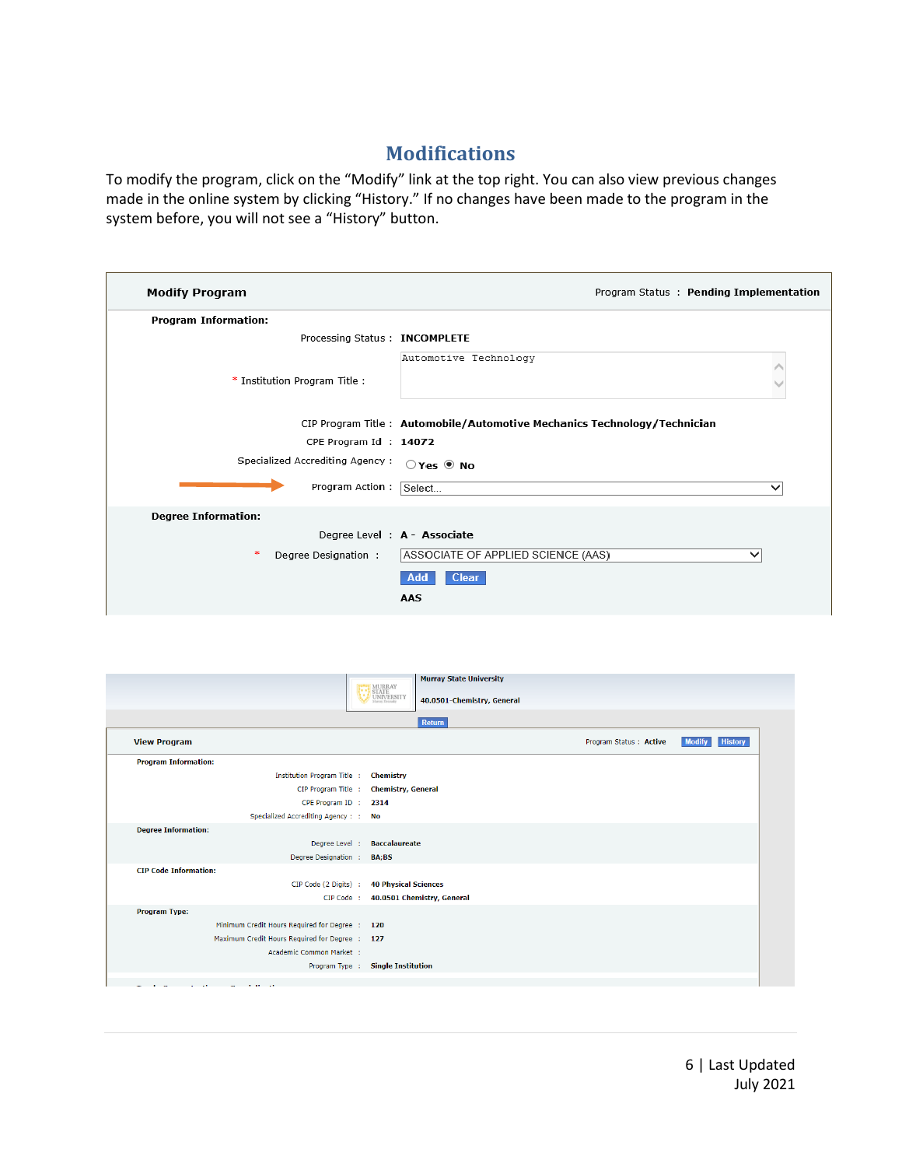#### **Modifications**

To modify the program, click on the "Modify" link at the top right. You can also view previous changes made in the online system by clicking "History." If no changes have been made to the program in the system before, you will not see a "History" button.

| <b>Modify Program</b>           | Program Status: Pending Implementation                                   |
|---------------------------------|--------------------------------------------------------------------------|
| <b>Program Information:</b>     |                                                                          |
| Processing Status: INCOMPLETE   |                                                                          |
|                                 | Automotive Technology                                                    |
| * Institution Program Title:    |                                                                          |
|                                 | CIP Program Title: Automobile/Automotive Mechanics Technology/Technician |
| CPE Program Id: 14072           |                                                                          |
| Specialized Accrediting Agency: | $OYes$ No                                                                |
| Program Action: Select          | $\checkmark$                                                             |
| <b>Degree Information:</b>      |                                                                          |
| Degree Level : A - Associate    |                                                                          |
| -sk<br>Degree Designation :     | ASSOCIATE OF APPLIED SCIENCE (AAS)<br>$\checkmark$                       |
|                                 | <b>Clear</b><br>Add                                                      |
|                                 | AAS                                                                      |

|                                                | <b>Murray State University</b>                                                  |                         |                          |
|------------------------------------------------|---------------------------------------------------------------------------------|-------------------------|--------------------------|
|                                                | MURRAY<br>STATE<br>UNIVERSITY<br>Marias, Ericaday<br>40.0501-Chemistry, General |                         |                          |
|                                                | Return                                                                          |                         |                          |
| <b>View Program</b>                            |                                                                                 | Program Status : Active | History<br><b>Modify</b> |
| <b>Program Information:</b>                    |                                                                                 |                         |                          |
| Institution Program Title :                    | <b>Chemistry</b>                                                                |                         |                          |
| CIP Program Title :                            | <b>Chemistry, General</b>                                                       |                         |                          |
| CPE Program ID :                               | 2314                                                                            |                         |                          |
| Specialized Accrediting Agency: :              | <b>No</b>                                                                       |                         |                          |
| <b>Degree Information:</b>                     |                                                                                 |                         |                          |
| Degree Level :                                 | <b>Baccalaureate</b>                                                            |                         |                          |
| Degree Designation :                           | BA;BS                                                                           |                         |                          |
| <b>CIP Code Information:</b>                   |                                                                                 |                         |                          |
| CIP Code (2 Digits) :                          | <b>40 Physical Sciences</b>                                                     |                         |                          |
| CIP Code :                                     | 40.0501 Chemistry, General                                                      |                         |                          |
| <b>Program Type:</b>                           |                                                                                 |                         |                          |
| Minimum Credit Hours Required for Degree :     | 120                                                                             |                         |                          |
| Maximum Credit Hours Required for Degree : 127 |                                                                                 |                         |                          |
| Academic Common Market :                       |                                                                                 |                         |                          |
| Program Type :                                 | <b>Single Institution</b>                                                       |                         |                          |
|                                                |                                                                                 |                         |                          |
| <b>All State</b><br><b>START OF</b>            |                                                                                 |                         |                          |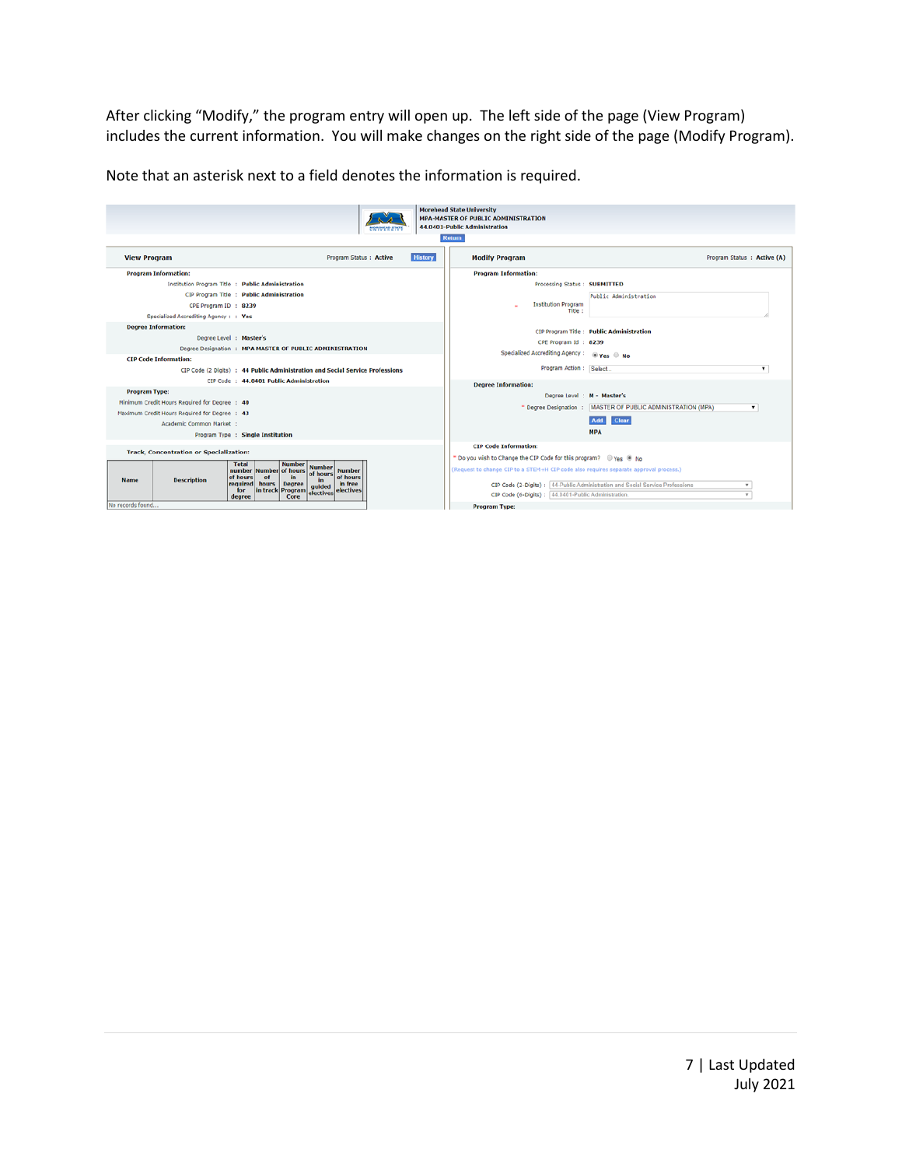After clicking "Modify," the program entry will open up. The left side of the page (View Program) includes the current information. You will make changes on the right side of the page (Modify Program).

Note that an asterisk next to a field denotes the information is required.

|                                                   |                                                                                               | <b>Morehead State University</b>                                                      |                                                                                       |
|---------------------------------------------------|-----------------------------------------------------------------------------------------------|---------------------------------------------------------------------------------------|---------------------------------------------------------------------------------------|
|                                                   |                                                                                               | <b>MPA-MASTER OF PUBLIC ADMINISTRATION</b><br>44.0401-Public Administration           |                                                                                       |
|                                                   |                                                                                               | Return                                                                                |                                                                                       |
|                                                   |                                                                                               |                                                                                       |                                                                                       |
| <b>View Program</b>                               | <b>History</b><br>Program Status : Active                                                     | <b>Modify Program</b>                                                                 | Program Status : Active (A)                                                           |
| <b>Program Information:</b>                       |                                                                                               | <b>Program Information:</b>                                                           |                                                                                       |
| Institution Program Title : Public Administration |                                                                                               | Processing Status: SUBMITTED                                                          |                                                                                       |
|                                                   | CIP Program Title : Public Administration                                                     |                                                                                       | Public Administration                                                                 |
| CPE Program ID : 8239                             |                                                                                               | <b>Institution Program</b><br>Title:                                                  |                                                                                       |
| Specialized Accrediting Agency: : Yes             |                                                                                               |                                                                                       |                                                                                       |
| <b>Degree Information:</b>                        |                                                                                               |                                                                                       | CIP Program Title: Public Administration                                              |
| Degree Level : Master's                           |                                                                                               | CPE Program Id: 8239                                                                  |                                                                                       |
|                                                   | Degree Designation : MPA MASTER OF PUBLIC ADMINISTRATION                                      | Specialized Accrediting Agency :                                                      | $\circ$ Yes $\circ$ No                                                                |
| <b>CIP Code Information:</b>                      |                                                                                               |                                                                                       |                                                                                       |
|                                                   | CIP Code (2 Digits) : 44 Public Administration and Social Service Professions                 | Program Action : Select                                                               |                                                                                       |
|                                                   | CIP Code: 44.0401 Public Administration                                                       | <b>Degree Information:</b>                                                            |                                                                                       |
| <b>Program Type:</b>                              |                                                                                               | Degree Level : M - Master's                                                           |                                                                                       |
| Minimum Credit Hours Required for Degree : 40     |                                                                                               |                                                                                       | * Degree Designation : MASTER OF PUBLIC ADMINISTRATION (MPA)<br>$\mathbf{r}$          |
| Maximum Credit Hours Required for Degree : 43     |                                                                                               |                                                                                       | <b>Clear</b><br>Add                                                                   |
| Academic Common Market :                          |                                                                                               |                                                                                       | <b>MPA</b>                                                                            |
|                                                   | Program Type : Single Institution                                                             |                                                                                       |                                                                                       |
| <b>Track, Concentration or Specialization:</b>    |                                                                                               | <b>CIP Code Information:</b>                                                          |                                                                                       |
|                                                   | <b>Number</b><br><b>Total</b>                                                                 |                                                                                       |                                                                                       |
|                                                   | <b>Number</b><br>Number of hours<br>number<br><b>Number</b><br>of hours<br>of hours           | (Request to change CIP to a STEM+H CIP code also requires separate approval process.) |                                                                                       |
| Name<br><b>Description</b>                        | of hours<br>of<br>in.<br>in<br>in free<br><b>required</b><br>hours<br><b>Degree</b><br>quided |                                                                                       | CIP Code (2-Digits) : 44-Public Administration and Social Service Professions<br>$\;$ |
|                                                   | in track Program<br><b>electives</b><br>for<br>electives<br>Core<br>degree                    | CIP Code (6-Digits) : 44.0401-Public Administration                                   | $\sim$                                                                                |
| No records found                                  |                                                                                               | <b>Program Type:</b>                                                                  |                                                                                       |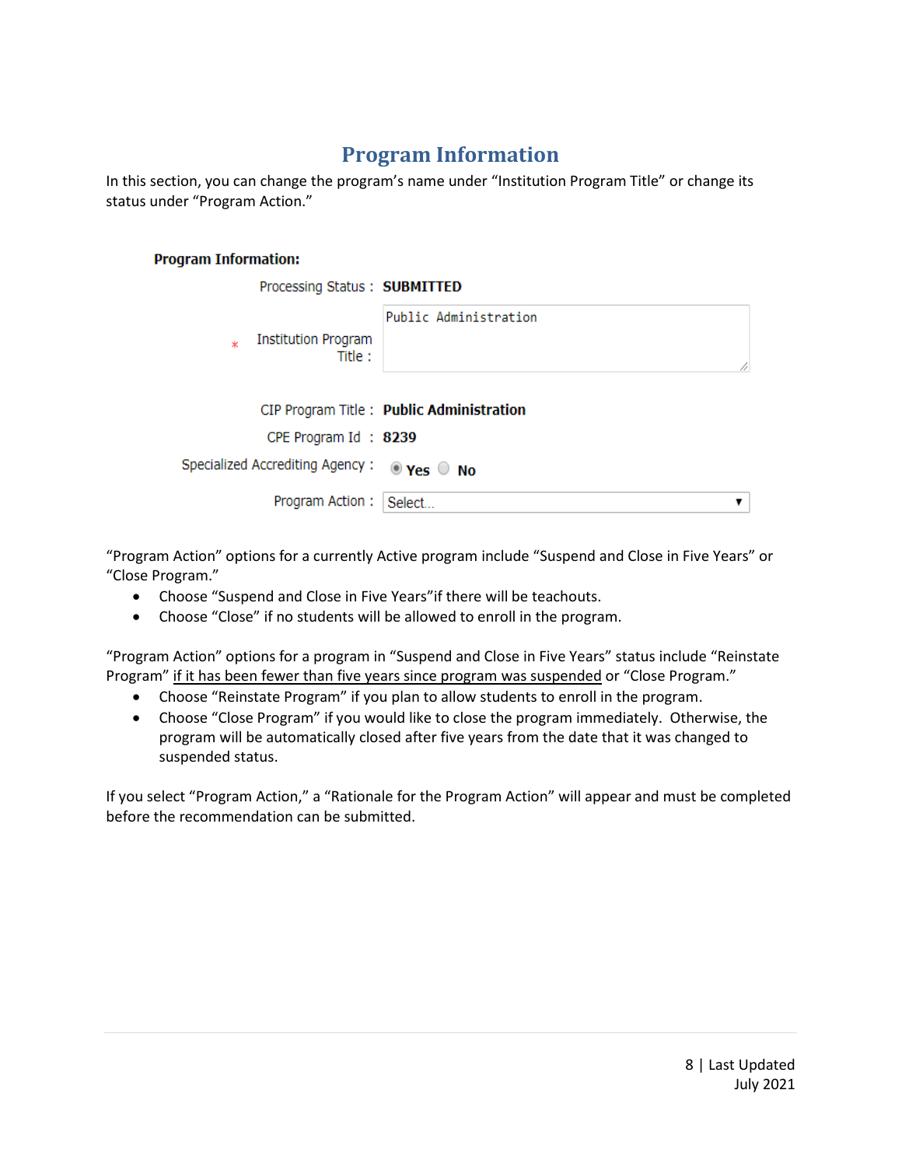## **Program Information**

In this section, you can change the program's name under "Institution Program Title" or change its status under "Program Action."

#### **Program Information:**

| Processing Status: SUBMITTED               |                                          |
|--------------------------------------------|------------------------------------------|
| Institution Program<br>ж<br>Title:         | Public Administration<br>ħ               |
|                                            | CIP Program Title: Public Administration |
| CPE Program Id: 8239                       |                                          |
| Specialized Accrediting Agency: @ Yes O No |                                          |
| Program Action:                            | Select                                   |

"Program Action" options for a currently Active program include "Suspend and Close in Five Years" or "Close Program."

- Choose "Suspend and Close in Five Years"if there will be teachouts.
- Choose "Close" if no students will be allowed to enroll in the program.

"Program Action" options for a program in "Suspend and Close in Five Years" status include "Reinstate Program" if it has been fewer than five years since program was suspended or "Close Program."

- Choose "Reinstate Program" if you plan to allow students to enroll in the program.
- Choose "Close Program" if you would like to close the program immediately. Otherwise, the program will be automatically closed after five years from the date that it was changed to suspended status.

If you select "Program Action," a "Rationale for the Program Action" will appear and must be completed before the recommendation can be submitted.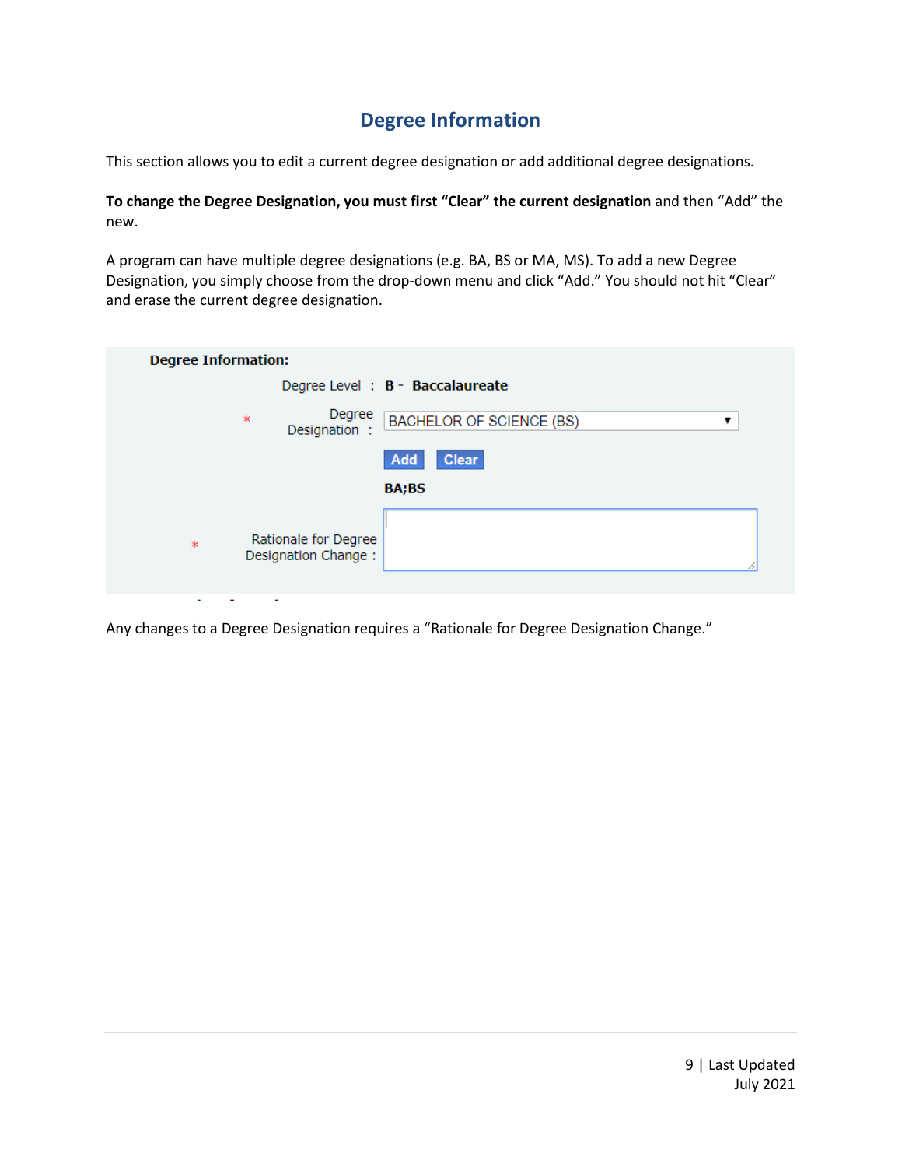#### **Degree Information**

This section allows you to edit a current degree designation or add additional degree designations.

**To change the Degree Designation, you must first "Clear" the current designation** and then "Add" the new.

A program can have multiple degree designations (e.g. BA, BS or MA, MS). To add a new Degree Designation, you simply choose from the drop-down menu and click "Add." You should not hit "Clear" and erase the current degree designation.

| <b>Degree Information:</b>                            |                                      |
|-------------------------------------------------------|--------------------------------------|
|                                                       | Degree Level : B - Baccalaureate     |
| Degree<br>$\ast$<br>Designation:                      | <b>BACHELOR OF SCIENCE (BS)</b><br>▼ |
|                                                       | <b>Clear</b><br>Add                  |
|                                                       | <b>BA;BS</b>                         |
| Rationale for Degree<br>$\ast$<br>Designation Change: |                                      |
| $\sim$<br>$\sim$<br>$\sim$                            |                                      |

Any changes to a Degree Designation requires a "Rationale for Degree Designation Change."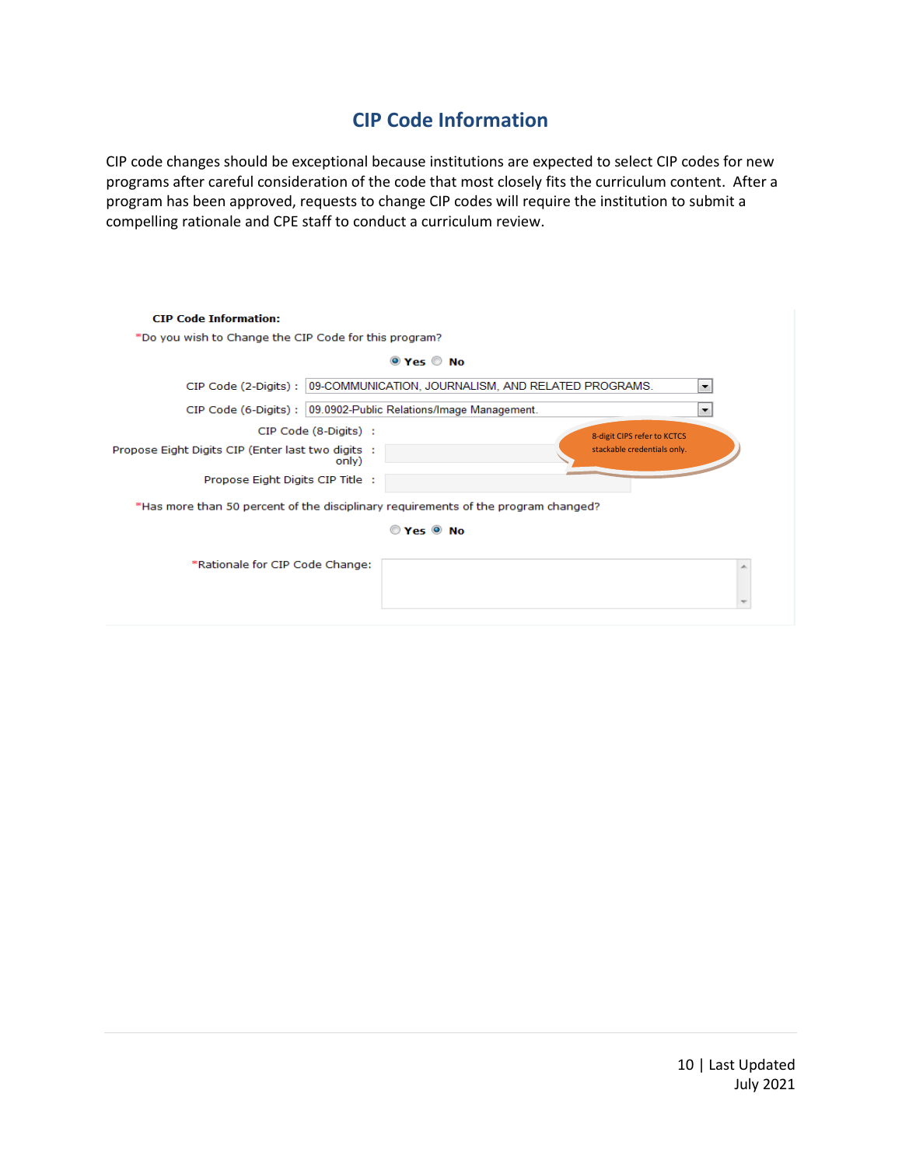#### **CIP Code Information**

CIP code changes should be exceptional because institutions are expected to select CIP codes for new programs after careful consideration of the code that most closely fits the curriculum content. After a program has been approved, requests to change CIP codes will require the institution to submit a compelling rationale and CPE staff to conduct a curriculum review.

| <b>CIP Code Information:</b>                                                       |                                                                                |
|------------------------------------------------------------------------------------|--------------------------------------------------------------------------------|
| *Do you wish to Change the CIP Code for this program?                              |                                                                                |
|                                                                                    | $\odot$ Yes $\odot$ No                                                         |
|                                                                                    | CIP Code (2-Digits): 09-COMMUNICATION, JOURNALISM, AND RELATED PROGRAMS.<br>۰. |
| CIP Code (6-Digits) : 09.0902-Public Relations/Image Management.                   | ▼                                                                              |
| CIP Code (8-Digits) :                                                              | 8-digit CIPS refer to KCTCS                                                    |
| Propose Eight Digits CIP (Enter last two digits :<br>only)                         | stackable credentials only.                                                    |
| Propose Eight Digits CIP Title :                                                   |                                                                                |
| *Has more than 50 percent of the disciplinary requirements of the program changed? |                                                                                |
|                                                                                    | $OYes$ $ONO$                                                                   |
| *Rationale for CIP Code Change:                                                    |                                                                                |
|                                                                                    |                                                                                |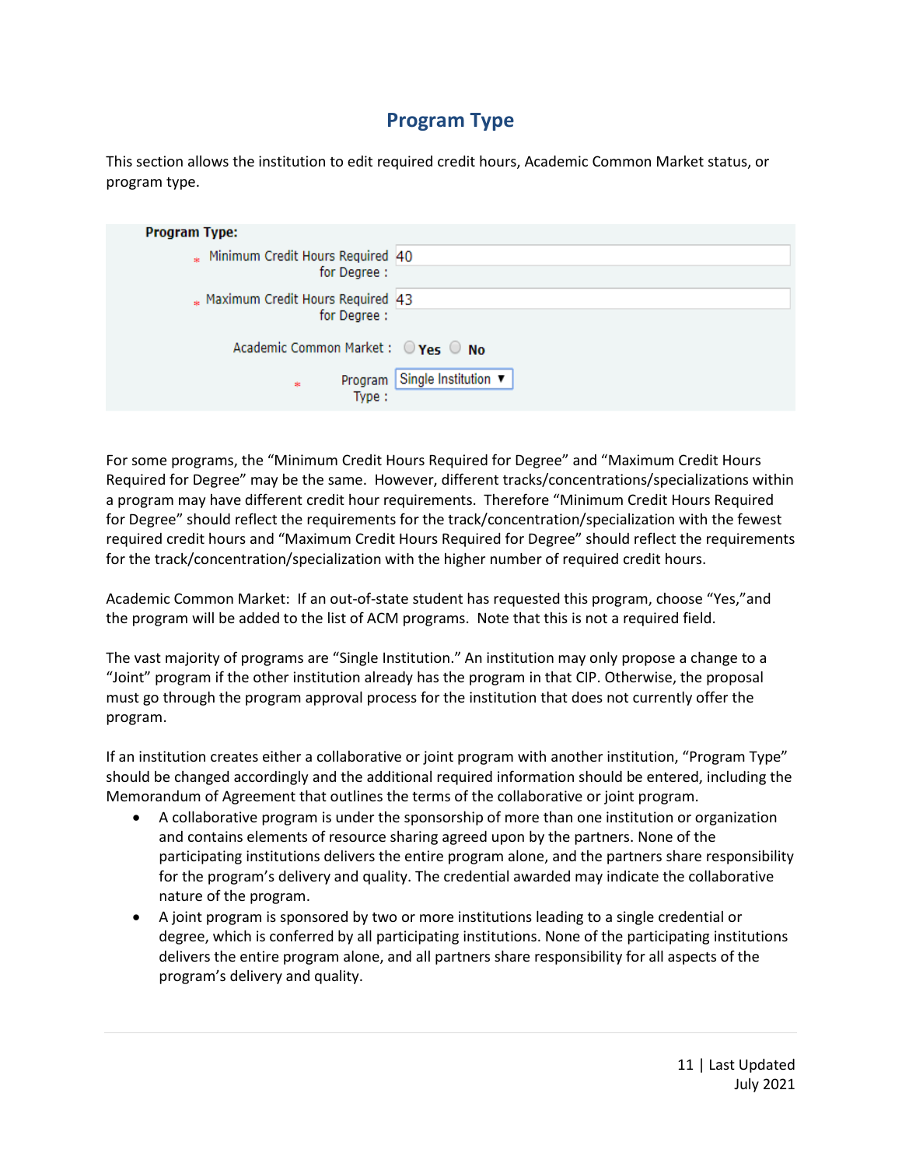#### **Program Type**

This section allows the institution to edit required credit hours, Academic Common Market status, or program type.

| <b>Program Type:</b>                                                                   |                              |
|----------------------------------------------------------------------------------------|------------------------------|
| Minimum Credit Hours Required 40<br>for Degree:                                        |                              |
|                                                                                        |                              |
| * Maximum Credit Hours Required 43                                                     |                              |
| for Degree:                                                                            |                              |
| Academic Common Market : $\bigcirc \gamma_{\textsf{es}} \bigcirc \gamma_{\textsf{do}}$ |                              |
| $\frac{1}{2}$                                                                          | Program Single Institution ▼ |
| Type:                                                                                  |                              |

For some programs, the "Minimum Credit Hours Required for Degree" and "Maximum Credit Hours Required for Degree" may be the same. However, different tracks/concentrations/specializations within a program may have different credit hour requirements. Therefore "Minimum Credit Hours Required for Degree" should reflect the requirements for the track/concentration/specialization with the fewest required credit hours and "Maximum Credit Hours Required for Degree" should reflect the requirements for the track/concentration/specialization with the higher number of required credit hours.

Academic Common Market: If an out-of-state student has requested this program, choose "Yes,"and the program will be added to the list of ACM programs. Note that this is not a required field.

The vast majority of programs are "Single Institution." An institution may only propose a change to a "Joint" program if the other institution already has the program in that CIP. Otherwise, the proposal must go through the program approval process for the institution that does not currently offer the program.

If an institution creates either a collaborative or joint program with another institution, "Program Type" should be changed accordingly and the additional required information should be entered, including the Memorandum of Agreement that outlines the terms of the collaborative or joint program.

- A collaborative program is under the sponsorship of more than one institution or organization and contains elements of resource sharing agreed upon by the partners. None of the participating institutions delivers the entire program alone, and the partners share responsibility for the program's delivery and quality. The credential awarded may indicate the collaborative nature of the program.
- A joint program is sponsored by two or more institutions leading to a single credential or degree, which is conferred by all participating institutions. None of the participating institutions delivers the entire program alone, and all partners share responsibility for all aspects of the program's delivery and quality.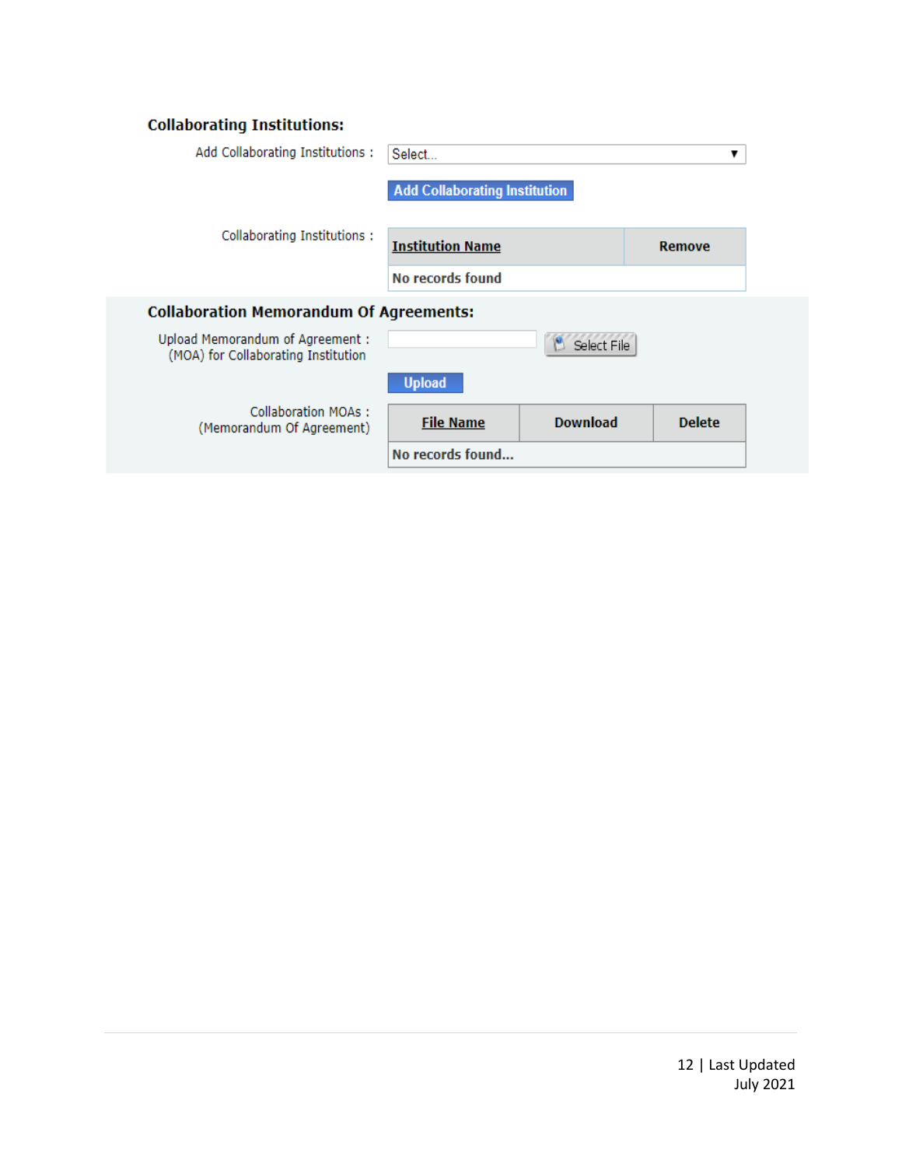#### **Collaborating Institutions:**

| Add Collaborating Institutions:                                         | Select<br>▼                          |                 |               |  |
|-------------------------------------------------------------------------|--------------------------------------|-----------------|---------------|--|
|                                                                         | <b>Add Collaborating Institution</b> |                 |               |  |
| Collaborating Institutions:                                             | <b>Institution Name</b>              |                 | <b>Remove</b> |  |
|                                                                         | No records found                     |                 |               |  |
| <b>Collaboration Memorandum Of Agreements:</b>                          |                                      |                 |               |  |
| Upload Memorandum of Agreement :<br>(MOA) for Collaborating Institution |                                      | Select File     |               |  |
|                                                                         | <b>Upload</b>                        |                 |               |  |
| Collaboration MOAs:<br>(Memorandum Of Agreement)                        | <b>File Name</b>                     | <b>Download</b> | <b>Delete</b> |  |
|                                                                         | No records found                     |                 |               |  |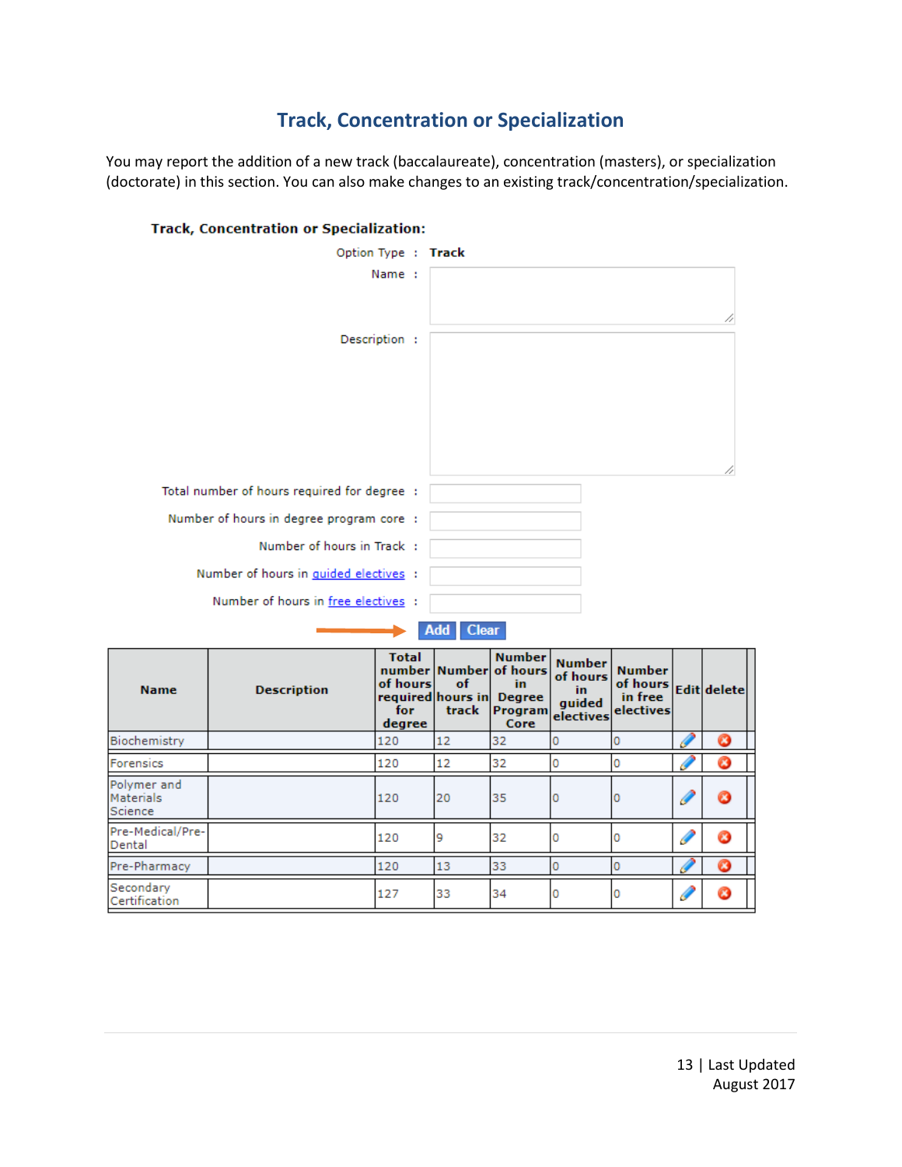### **Track, Concentration or Specialization**

You may report the addition of a new track (baccalaureate), concentration (masters), or specialization (doctorate) in this section. You can also make changes to an existing track/concentration/specialization.



#### **Track, Concentration or Specialization:**

| <b>Name</b>                         | <b>Description</b> | <b>Total</b><br>of hours<br>required hours in<br>for<br>degree | of<br>track | <b>Number</b><br>number Number of hours<br>in.<br><b>Degree</b><br><b>Program</b><br>Core | <b>Number</b><br>of hours<br>in.<br>quided<br>electives | <b>Number</b><br>of hours Edit delete<br>in free<br>electives |   |   |
|-------------------------------------|--------------------|----------------------------------------------------------------|-------------|-------------------------------------------------------------------------------------------|---------------------------------------------------------|---------------------------------------------------------------|---|---|
| Biochemistry                        |                    | 120                                                            | 12          | 32                                                                                        | 0                                                       | Ю                                                             |   |   |
| Forensics                           |                    | 120                                                            | 12          | 32                                                                                        | 0                                                       | 0                                                             |   |   |
| Polymer and<br>Materials<br>Science |                    | 120                                                            | 20          | 35                                                                                        | 0                                                       | 0                                                             | 6 |   |
| Pre-Medical/Pre-<br>Dental          |                    | 120                                                            | 9           | 32                                                                                        | O                                                       | 10                                                            |   | Ø |
| Pre-Pharmacy                        |                    | 120                                                            | 13          | 33                                                                                        | 0                                                       | 0                                                             |   |   |
| Secondary<br>Certification          |                    | 127                                                            | 33          | 34                                                                                        | O                                                       | 10                                                            |   |   |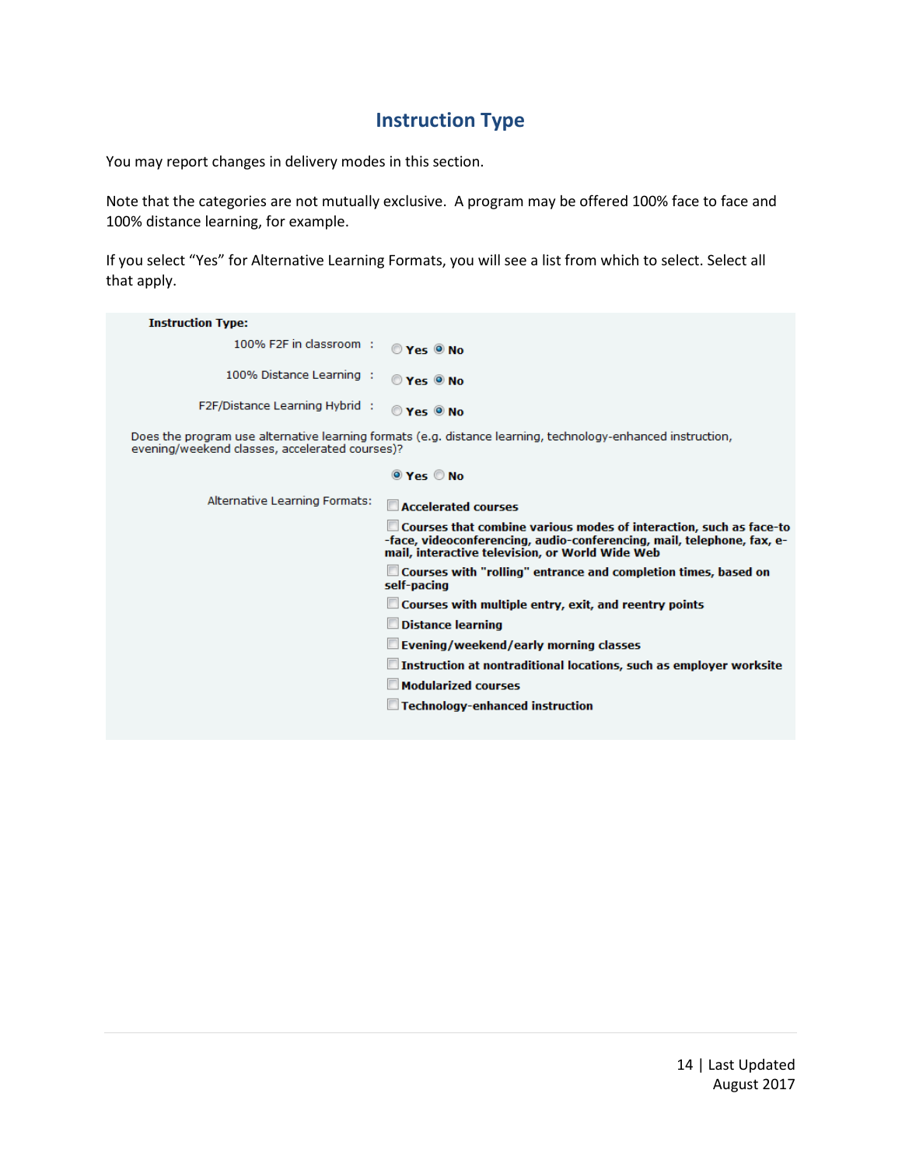#### **Instruction Type**

You may report changes in delivery modes in this section.

Note that the categories are not mutually exclusive. A program may be offered 100% face to face and 100% distance learning, for example.

If you select "Yes" for Alternative Learning Formats, you will see a list from which to select. Select all that apply.

| <b>Instruction Type:</b>                       |                                                                                                                                                                                                           |
|------------------------------------------------|-----------------------------------------------------------------------------------------------------------------------------------------------------------------------------------------------------------|
| 100% F2F in classroom :                        | $OYes$ $ONO$                                                                                                                                                                                              |
| 100% Distance Learning :                       | $OY_{PS}$ $O$ No                                                                                                                                                                                          |
| F2F/Distance Learning Hybrid :                 | $OYes$ $ONO$                                                                                                                                                                                              |
| evening/weekend classes, accelerated courses)? | Does the program use alternative learning formats (e.g. distance learning, technology-enhanced instruction,                                                                                               |
|                                                | $\odot$ Yes $\odot$ No                                                                                                                                                                                    |
| Alternative Learning Formats:                  | <b>Accelerated courses</b>                                                                                                                                                                                |
|                                                | $\square$ Courses that combine various modes of interaction, such as face-to<br>-face, videoconferencing, audio-conferencing, mail, telephone, fax, e-<br>mail, interactive television, or World Wide Web |
|                                                | $\square$ Courses with "rolling" entrance and completion times, based on<br>self-pacing                                                                                                                   |
|                                                | $\Box$ Courses with multiple entry, exit, and reentry points                                                                                                                                              |
|                                                | Distance learning                                                                                                                                                                                         |
|                                                | $\Box$ Evening/weekend/early morning classes                                                                                                                                                              |
|                                                | $\Box$ Instruction at nontraditional locations, such as employer worksite                                                                                                                                 |
|                                                | <b>Modularized courses</b>                                                                                                                                                                                |
|                                                | Technology-enhanced instruction                                                                                                                                                                           |
|                                                |                                                                                                                                                                                                           |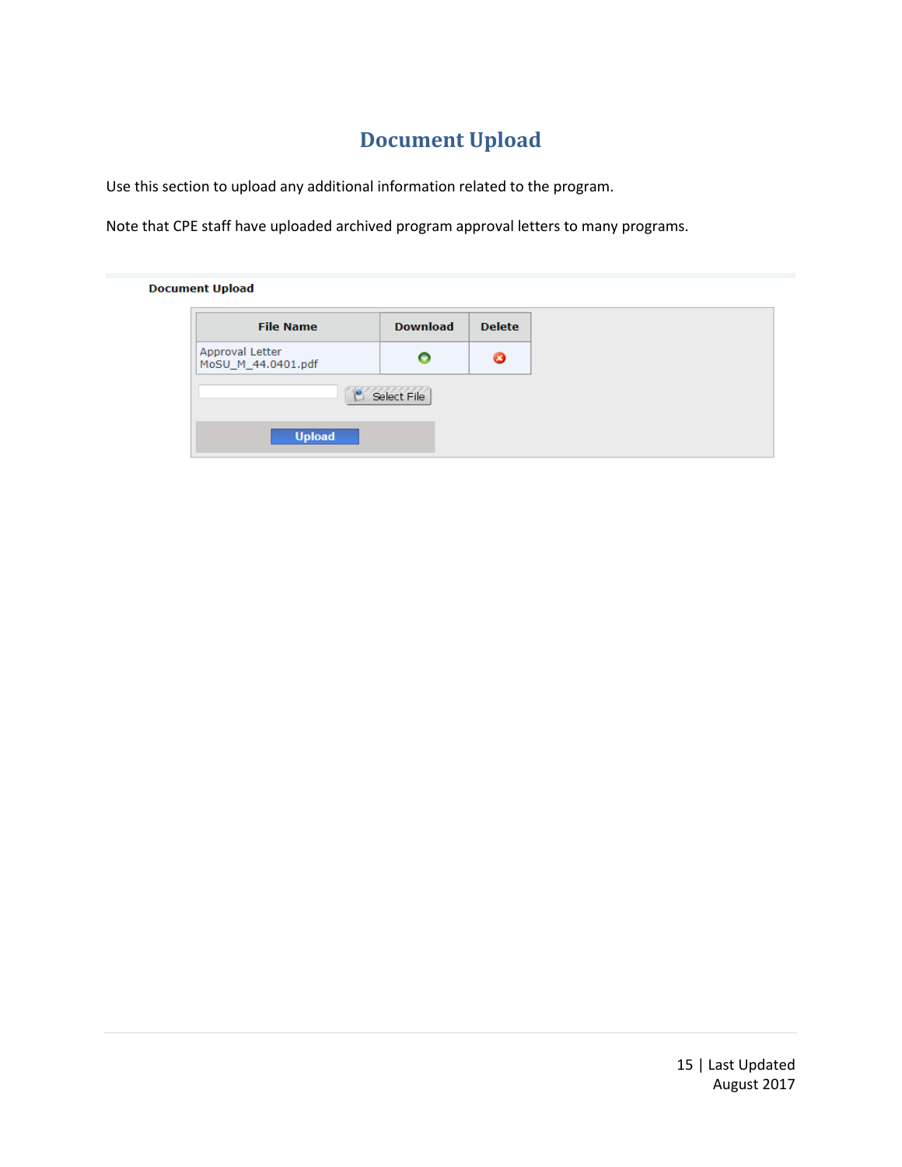# **Document Upload**

Use this section to upload any additional information related to the program.

Note that CPE staff have uploaded archived program approval letters to many programs.

**Document Upload** 

| <b>File Name</b>                      | <b>Download</b> | <b>Delete</b> |
|---------------------------------------|-----------------|---------------|
| Approval Letter<br>MoSU_M_44.0401.pdf |                 | Ø             |
| Select File                           |                 |               |
| <b>Upload</b>                         |                 |               |